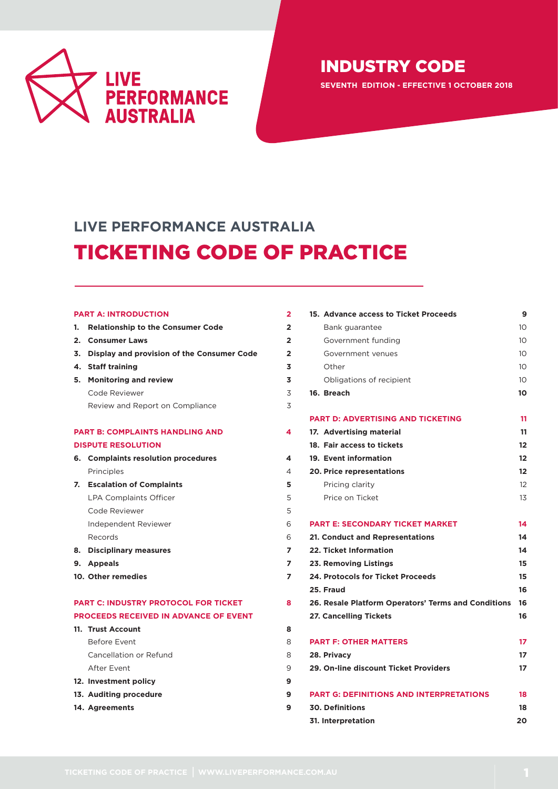

**SEVENTH EDITION - EFFECTIVE 1 OCTOBER 2018**

# **LIVE PERFORMANCE AUSTRALIA** TICKETING CODE OF PRACTICE

### **[PART A: INTRODUCTION](#page-1-0) 2**

|                                        | 1. Relationship to the Consumer Code          | $\mathbf{2}$ |
|----------------------------------------|-----------------------------------------------|--------------|
|                                        | 2. Consumer Laws                              | $\mathbf{2}$ |
|                                        | 3. Display and provision of the Consumer Code | 2            |
|                                        | 4. Staff training                             | 3            |
|                                        | 5. Monitoring and review                      | 3            |
|                                        | Code Reviewer                                 | 3            |
|                                        | Review and Report on Compliance               | 3            |
|                                        |                                               |              |
| <b>PART B: COMPLAINTS HANDLING AND</b> |                                               | 4            |
|                                        | <b>DISPUTE RESOLUTION</b>                     |              |
|                                        | 6. Complaints resolution procedures           | 4            |
|                                        | Principles                                    | 4            |
|                                        | 7. Escalation of Complaints                   | 5            |
|                                        | LPA Complaints Officer                        | 5            |

- [Code Reviewer](#page-4-2) 5 [Independent Reviewer](#page-5-0) 6 [Records](#page-5-1) 6 **8. [Disciplinary measures](#page-6-0) 7 9. [Appeals](#page-6-1) 7**
- **[10. Other remedies](#page-6-2) 7**

# **[PART C: INDUSTRY PROTOCOL FOR TICKET 8](#page-7-0) [PROCEEDS RECEIVED IN ADVANCE OF EVENT](#page-7-0)**

| 11. Trust Account      | 8 |
|------------------------|---|
| Before Event           | 8 |
| Cancellation or Refund | 8 |
| After Event            | 9 |
| 12. Investment policy  | 9 |
| 13. Auditing procedure | 9 |
| 14. Agreements         |   |

| 15. Advance access to Ticket Proceeds               | 9               |
|-----------------------------------------------------|-----------------|
| Bank guarantee                                      | 10 <sup>1</sup> |
| Government funding                                  | 10              |
| Government venues                                   | 10              |
| Other                                               | 10 <sup>2</sup> |
| Obligations of recipient                            | 10 <sup>2</sup> |
| 16. Breach                                          | 10              |
| <b>PART D: ADVERTISING AND TICKETING</b>            | 11              |
| 17. Advertising material                            | 11              |
| 18. Fair access to tickets                          | 12              |
| 19. Event information                               | 12              |
| <b>20. Price representations</b>                    | 12              |
| Pricing clarity                                     | 12              |
| Price on Ticket                                     | 13              |
| <b>PART E: SECONDARY TICKET MARKET</b>              | 14              |
| 21. Conduct and Representations                     | 14              |
| 22. Ticket Information                              | 14              |
| 23. Removing Listings                               | 15              |
| 24. Protocols for Ticket Proceeds                   | 15              |
| 25. Fraud                                           | 16              |
| 26. Resale Platform Operators' Terms and Conditions | 16              |
| <b>27. Cancelling Tickets</b>                       | 16              |
| <b>PART F: OTHER MATTERS</b>                        | 17              |
| 28. Privacy                                         | 17              |
| 29. On-line discount Ticket Providers               | 17              |
| <b>PART G: DEFINITIONS AND INTERPRETATIONS</b>      | 18              |
| <b>30. Definitions</b>                              | 18              |
| 31. Interpretation                                  | 20              |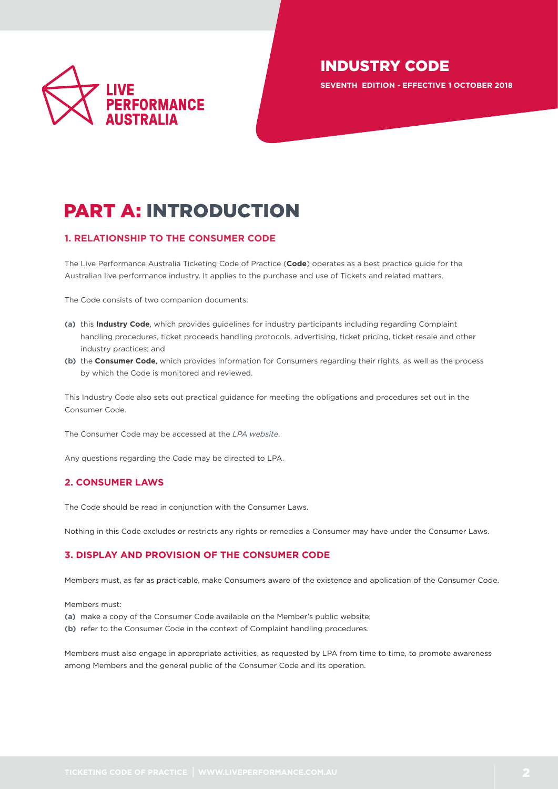

**SEVENTH EDITION - EFFECTIVE 1 OCTOBER 2018**

# <span id="page-1-0"></span>PART A: INTRODUCTION

# <span id="page-1-1"></span>**1. RELATIONSHIP TO THE CONSUMER CODE**

The Live Performance Australia Ticketing Code of Practice (**Code**) operates as a best practice guide for the Australian live performance industry. It applies to the purchase and use of Tickets and related matters.

The Code consists of two companion documents:

- **(a)** this **Industry Code**, which provides guidelines for industry participants including regarding Complaint handling procedures, ticket proceeds handling protocols, advertising, ticket pricing, ticket resale and other industry practices; and
- **(b)** the **Consumer Code**, which provides information for Consumers regarding their rights, as well as the process by which the Code is monitored and reviewed.

This Industry Code also sets out practical guidance for meeting the obligations and procedures set out in the Consumer Code.

The Consumer Code may be accessed at the *[LPA website](http://liveperformance.com.au/ticketing_code_practice)*.

Any questions regarding the Code may be directed to LPA.

# <span id="page-1-2"></span>**2. CONSUMER LAWS**

The Code should be read in conjunction with the Consumer Laws.

Nothing in this Code excludes or restricts any rights or remedies a Consumer may have under the Consumer Laws.

# <span id="page-1-3"></span>**3. DISPLAY AND PROVISION OF THE CONSUMER CODE**

Members must, as far as practicable, make Consumers aware of the existence and application of the Consumer Code.

Members must:

- **(a)** make a copy of the Consumer Code available on the Member's public website;
- **(b)** refer to the Consumer Code in the context of Complaint handling procedures.

Members must also engage in appropriate activities, as requested by LPA from time to time, to promote awareness among Members and the general public of the Consumer Code and its operation.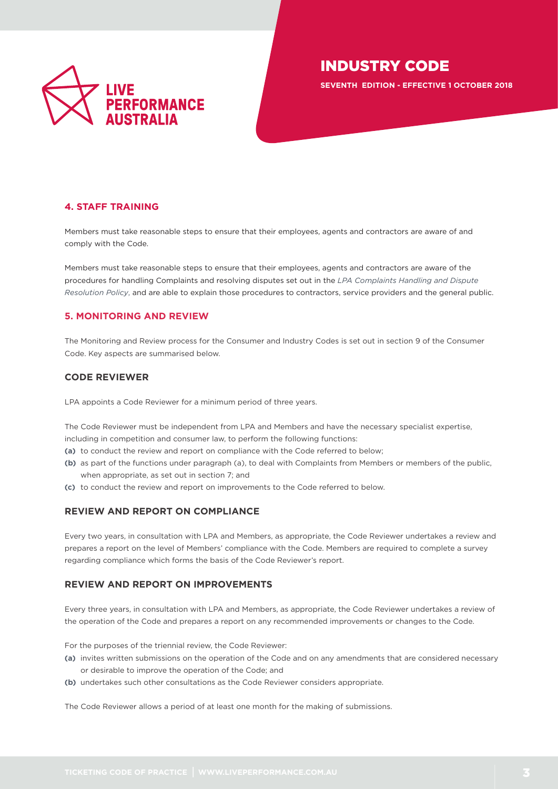

**SEVENTH EDITION - EFFECTIVE 1 OCTOBER 2018**

# <span id="page-2-0"></span>**4. STAFF TRAINING**

Members must take reasonable steps to ensure that their employees, agents and contractors are aware of and comply with the Code.

Members must take reasonable steps to ensure that their employees, agents and contractors are aware of the procedures for handling Complaints and resolving disputes set out in the *[LPA Complaints Handling and Dispute](http://liveperformance.com.au/sites/liveperformance.com.au/files/resources/lpa_complaints_handling_and_dispute_resolution_policy_final_20151104.pdf)  [Resolution Policy](http://liveperformance.com.au/sites/liveperformance.com.au/files/resources/lpa_complaints_handling_and_dispute_resolution_policy_final_20151104.pdf)*, and are able to explain those procedures to contractors, service providers and the general public.

# <span id="page-2-1"></span>**5. MONITORING AND REVIEW**

The Monitoring and Review process for the Consumer and Industry Codes is set out in section 9 of the Consumer Code. Key aspects are summarised below.

# <span id="page-2-2"></span>**CODE REVIEWER**

LPA appoints a Code Reviewer for a minimum period of three years.

The Code Reviewer must be independent from LPA and Members and have the necessary specialist expertise, including in competition and consumer law, to perform the following functions:

- **(a)** to conduct the review and report on compliance with the Code referred to below;
- **(b)** as part of the functions under paragraph (a), to deal with Complaints from Members or members of the public, when appropriate, as set out in section 7; and
- **(c)** to conduct the review and report on improvements to the Code referred to below.

# <span id="page-2-3"></span>**REVIEW AND REPORT ON COMPLIANCE**

Every two years, in consultation with LPA and Members, as appropriate, the Code Reviewer undertakes a review and prepares a report on the level of Members' compliance with the Code. Members are required to complete a survey regarding compliance which forms the basis of the Code Reviewer's report.

# **REVIEW AND REPORT ON IMPROVEMENTS**

Every three years, in consultation with LPA and Members, as appropriate, the Code Reviewer undertakes a review of the operation of the Code and prepares a report on any recommended improvements or changes to the Code.

For the purposes of the triennial review, the Code Reviewer:

- **(a)** invites written submissions on the operation of the Code and on any amendments that are considered necessary or desirable to improve the operation of the Code; and
- **(b)** undertakes such other consultations as the Code Reviewer considers appropriate.

The Code Reviewer allows a period of at least one month for the making of submissions.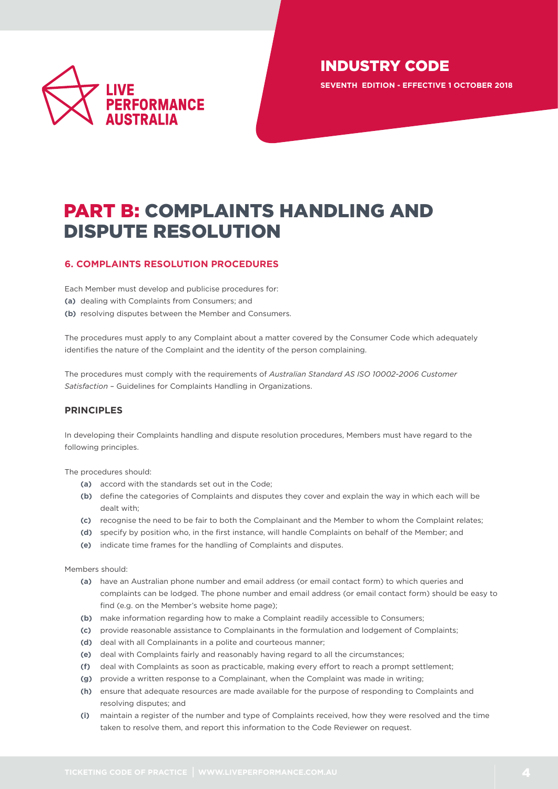

**SEVENTH EDITION - EFFECTIVE 1 OCTOBER 2018**

# <span id="page-3-0"></span>PART B: COMPLAINTS HANDLING AND DISPUTE RESOLUTION

# <span id="page-3-1"></span>**6. COMPLAINTS RESOLUTION PROCEDURES**

Each Member must develop and publicise procedures for:

- **(a)** dealing with Complaints from Consumers; and
- **(b)** resolving disputes between the Member and Consumers.

The procedures must apply to any Complaint about a matter covered by the Consumer Code which adequately identifies the nature of the Complaint and the identity of the person complaining.

The procedures must comply with the requirements of *[Australian Standard AS ISO 10002-2006 Customer](http://www.saiglobal.com/PDFTemp/Previews/OSH/AS/AS10000/10000/10002-2006.pdf)  [Satisfaction](http://www.saiglobal.com/PDFTemp/Previews/OSH/AS/AS10000/10000/10002-2006.pdf)* – Guidelines for Complaints Handling in Organizations.

### **PRINCIPLES**

In developing their Complaints handling and dispute resolution procedures, Members must have regard to the following principles.

The procedures should:

- **(a)** accord with the standards set out in the Code;
- **(b)** define the categories of Complaints and disputes they cover and explain the way in which each will be dealt with;
- **(c)** recognise the need to be fair to both the Complainant and the Member to whom the Complaint relates;
- **(d)** specify by position who, in the first instance, will handle Complaints on behalf of the Member; and
- **(e)** indicate time frames for the handling of Complaints and disputes.

Members should:

- **(a)** have an Australian phone number and email address (or email contact form) to which queries and complaints can be lodged. The phone number and email address (or email contact form) should be easy to find (e.g. on the Member's website home page);
- **(b)** make information regarding how to make a Complaint readily accessible to Consumers;
- **(c)** provide reasonable assistance to Complainants in the formulation and lodgement of Complaints;
- **(d)** deal with all Complainants in a polite and courteous manner;
- **(e)** deal with Complaints fairly and reasonably having regard to all the circumstances;
- **(f)** deal with Complaints as soon as practicable, making every effort to reach a prompt settlement;
- **(g)** provide a written response to a Complainant, when the Complaint was made in writing;
- **(h)** ensure that adequate resources are made available for the purpose of responding to Complaints and resolving disputes; and
- **(i)** maintain a register of the number and type of Complaints received, how they were resolved and the time taken to resolve them, and report this information to the Code Reviewer on request.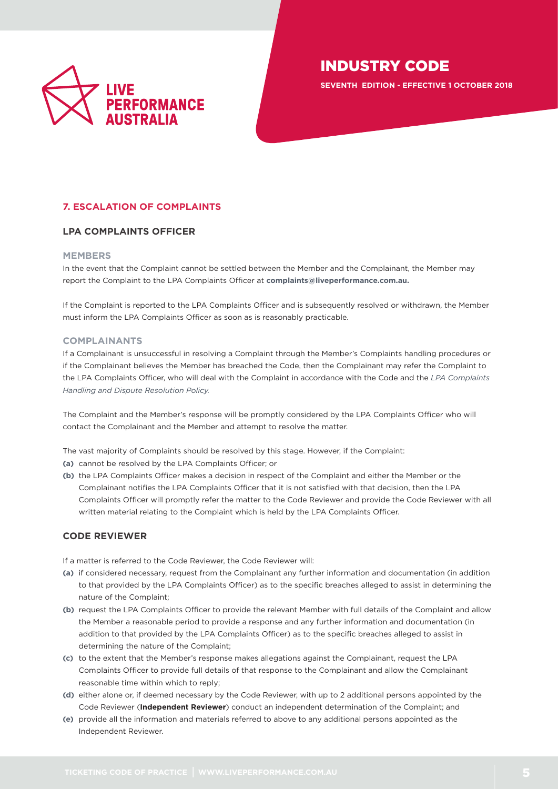

**SEVENTH EDITION - EFFECTIVE 1 OCTOBER 2018**

# <span id="page-4-0"></span>**7. ESCALATION OF COMPLAINTS**

### <span id="page-4-1"></span>**LPA COMPLAINTS OFFICER**

### **MEMBERS**

In the event that the Complaint cannot be settled between the Member and the Complainant, the Member may report the Complaint to the LPA Complaints Officer at **[complaints@liveperformance.com.au](mailto:complaints%40liveperformance.com.au?subject=).**

If the Complaint is reported to the LPA Complaints Officer and is subsequently resolved or withdrawn, the Member must inform the LPA Complaints Officer as soon as is reasonably practicable.

### **COMPLAINANTS**

If a Complainant is unsuccessful in resolving a Complaint through the Member's Complaints handling procedures or if the Complainant believes the Member has breached the Code, then the Complainant may refer the Complaint to the LPA Complaints Officer, who will deal with the Complaint in accordance with the Code and the *[LPA Complaints](http://liveperformance.com.au/sites/liveperformance.com.au/files/resources/lpa_complaints_handling_and_dispute_resolution_policy_final_20151104.pdf)  [Handling and Dispute Resolution Policy.](http://liveperformance.com.au/sites/liveperformance.com.au/files/resources/lpa_complaints_handling_and_dispute_resolution_policy_final_20151104.pdf)*

The Complaint and the Member's response will be promptly considered by the LPA Complaints Officer who will contact the Complainant and the Member and attempt to resolve the matter.

The vast majority of Complaints should be resolved by this stage. However, if the Complaint:

- **(a)** cannot be resolved by the LPA Complaints Officer; or
- **(b)** the LPA Complaints Officer makes a decision in respect of the Complaint and either the Member or the Complainant notifies the LPA Complaints Officer that it is not satisfied with that decision, then the LPA Complaints Officer will promptly refer the matter to the Code Reviewer and provide the Code Reviewer with all written material relating to the Complaint which is held by the LPA Complaints Officer.

### <span id="page-4-2"></span>**CODE REVIEWER**

If a matter is referred to the Code Reviewer, the Code Reviewer will:

- **(a)** if considered necessary, request from the Complainant any further information and documentation (in addition to that provided by the LPA Complaints Officer) as to the specific breaches alleged to assist in determining the nature of the Complaint;
- **(b)** request the LPA Complaints Officer to provide the relevant Member with full details of the Complaint and allow the Member a reasonable period to provide a response and any further information and documentation (in addition to that provided by the LPA Complaints Officer) as to the specific breaches alleged to assist in determining the nature of the Complaint;
- **(c)** to the extent that the Member's response makes allegations against the Complainant, request the LPA Complaints Officer to provide full details of that response to the Complainant and allow the Complainant reasonable time within which to reply;
- **(d)** either alone or, if deemed necessary by the Code Reviewer, with up to 2 additional persons appointed by the Code Reviewer (**Independent Reviewer**) conduct an independent determination of the Complaint; and
- **(e)** provide all the information and materials referred to above to any additional persons appointed as the Independent Reviewer.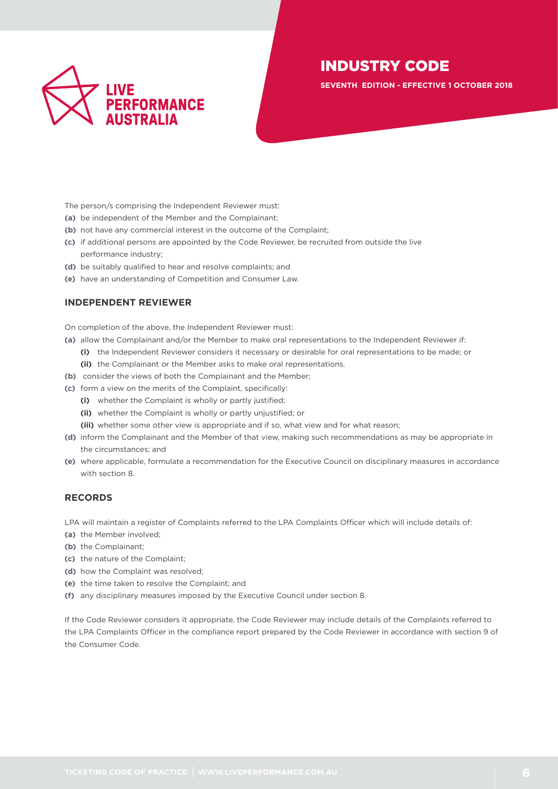

**SEVENTH EDITION - EFFECTIVE 1 OCTOBER 2018**

The person/s comprising the Independent Reviewer must:

- **(a)** be independent of the Member and the Complainant;
- **(b)** not have any commercial interest in the outcome of the Complaint;
- **(c)** if additional persons are appointed by the Code Reviewer, be recruited from outside the live performance industry;
- **(d)** be suitably qualified to hear and resolve complaints; and
- **(e)** have an understanding of Competition and Consumer Law.

### <span id="page-5-0"></span>**INDEPENDENT REVIEWER**

On completion of the above, the Independent Reviewer must:

- **(a)** allow the Complainant and/or the Member to make oral representations to the Independent Reviewer if:
	- **(i)** the Independent Reviewer considers it necessary or desirable for oral representations to be made; or **(ii)** the Complainant or the Member asks to make oral representations.
- **(b)** consider the views of both the Complainant and the Member;
- **(c)** form a view on the merits of the Complaint, specifically:
	- **(i)** whether the Complaint is wholly or partly justified;
	- **(ii)** whether the Complaint is wholly or partly unjustified; or
	- **(iii)** whether some other view is appropriate and if so, what view and for what reason;
- **(d)** inform the Complainant and the Member of that view, making such recommendations as may be appropriate in the circumstances; and
- **(e)** where applicable, formulate a recommendation for the Executive Council on disciplinary measures in accordance with section 8.

# <span id="page-5-1"></span>**RECORDS**

LPA will maintain a register of Complaints referred to the LPA Complaints Officer which will include details of:

- **(a)** the Member involved;
- **(b)** the Complainant;
- **(c)** the nature of the Complaint;
- **(d)** how the Complaint was resolved;
- **(e)** the time taken to resolve the Complaint; and
- **(f)** any disciplinary measures imposed by the Executive Council under section 8.

If the Code Reviewer considers it appropriate, the Code Reviewer may include details of the Complaints referred to the LPA Complaints Officer in the compliance report prepared by the Code Reviewer in accordance with section 9 of the Consumer Code.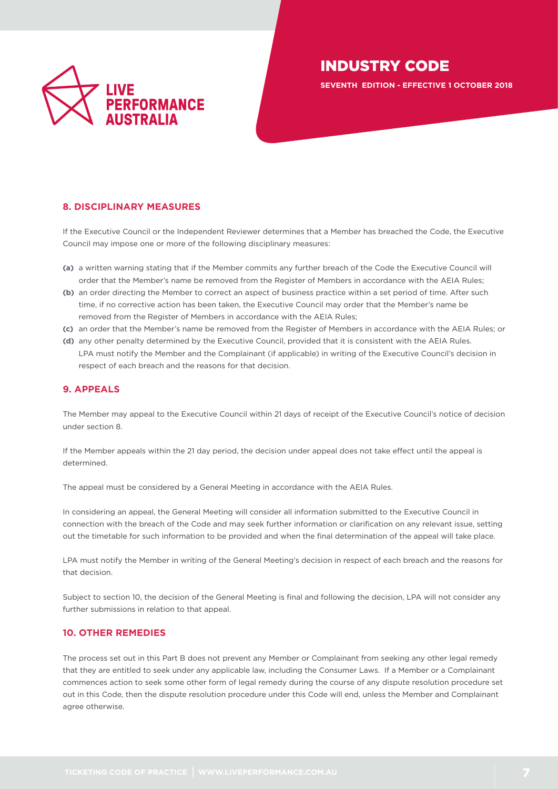

**SEVENTH EDITION - EFFECTIVE 1 OCTOBER 2018**

# <span id="page-6-0"></span>**8. DISCIPLINARY MEASURES**

If the Executive Council or the Independent Reviewer determines that a Member has breached the Code, the Executive Council may impose one or more of the following disciplinary measures:

- **(a)** a written warning stating that if the Member commits any further breach of the Code the Executive Council will order that the Member's name be removed from the Register of Members in accordance with the AEIA Rules;
- **(b)** an order directing the Member to correct an aspect of business practice within a set period of time. After such time, if no corrective action has been taken, the Executive Council may order that the Member's name be removed from the Register of Members in accordance with the AEIA Rules;
- **(c)** an order that the Member's name be removed from the Register of Members in accordance with the AEIA Rules; or
- **(d)** any other penalty determined by the Executive Council, provided that it is consistent with the AEIA Rules. LPA must notify the Member and the Complainant (if applicable) in writing of the Executive Council's decision in respect of each breach and the reasons for that decision.

### <span id="page-6-1"></span>**9. APPEALS**

The Member may appeal to the Executive Council within 21 days of receipt of the Executive Council's notice of decision under section 8.

If the Member appeals within the 21 day period, the decision under appeal does not take effect until the appeal is determined.

The appeal must be considered by a General Meeting in accordance with the AEIA Rules.

In considering an appeal, the General Meeting will consider all information submitted to the Executive Council in connection with the breach of the Code and may seek further information or clarification on any relevant issue, setting out the timetable for such information to be provided and when the final determination of the appeal will take place.

LPA must notify the Member in writing of the General Meeting's decision in respect of each breach and the reasons for that decision.

Subject to section 10, the decision of the General Meeting is final and following the decision, LPA will not consider any further submissions in relation to that appeal.

# <span id="page-6-2"></span>**10. OTHER REMEDIES**

The process set out in this Part B does not prevent any Member or Complainant from seeking any other legal remedy that they are entitled to seek under any applicable law, including the Consumer Laws. If a Member or a Complainant commences action to seek some other form of legal remedy during the course of any dispute resolution procedure set out in this Code, then the dispute resolution procedure under this Code will end, unless the Member and Complainant agree otherwise.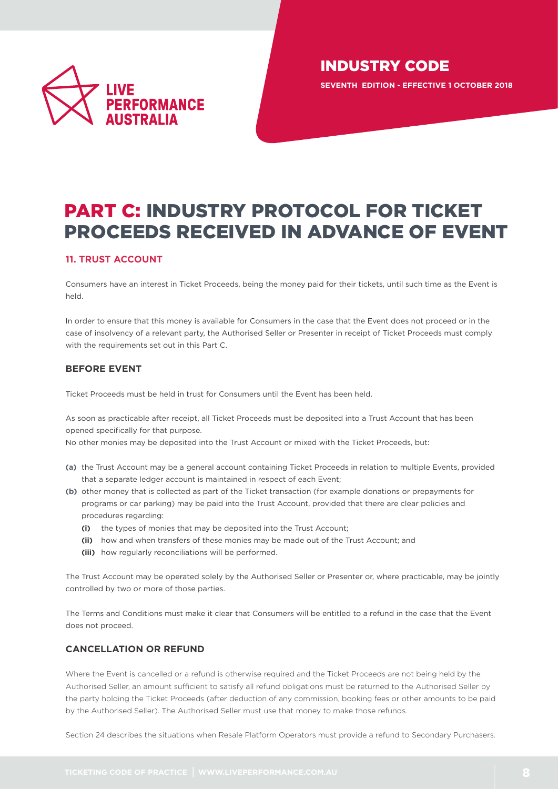

# <span id="page-7-0"></span>PART C: INDUSTRY PROTOCOL FOR TICKET PROCEEDS RECEIVED IN ADVANCE OF EVENT

# <span id="page-7-1"></span>**11. TRUST ACCOUNT**

Consumers have an interest in Ticket Proceeds, being the money paid for their tickets, until such time as the Event is held.

In order to ensure that this money is available for Consumers in the case that the Event does not proceed or in the case of insolvency of a relevant party, the Authorised Seller or Presenter in receipt of Ticket Proceeds must comply with the requirements set out in this Part C.

# <span id="page-7-2"></span>**BEFORE EVENT**

Ticket Proceeds must be held in trust for Consumers until the Event has been held.

As soon as practicable after receipt, all Ticket Proceeds must be deposited into a Trust Account that has been opened specifically for that purpose.

No other monies may be deposited into the Trust Account or mixed with the Ticket Proceeds, but:

- **(a)** the Trust Account may be a general account containing Ticket Proceeds in relation to multiple Events, provided that a separate ledger account is maintained in respect of each Event;
- **(b)** other money that is collected as part of the Ticket transaction (for example donations or prepayments for programs or car parking) may be paid into the Trust Account, provided that there are clear policies and procedures regarding:
	- **(i)** the types of monies that may be deposited into the Trust Account;
	- **(ii)** how and when transfers of these monies may be made out of the Trust Account; and
	- **(iii)** how regularly reconciliations will be performed.

The Trust Account may be operated solely by the Authorised Seller or Presenter or, where practicable, may be jointly controlled by two or more of those parties.

The Terms and Conditions must make it clear that Consumers will be entitled to a refund in the case that the Event does not proceed.

# <span id="page-7-3"></span>**CANCELLATION OR REFUND**

Where the Event is cancelled or a refund is otherwise required and the Ticket Proceeds are not being held by the Authorised Seller, an amount sufficient to satisfy all refund obligations must be returned to the Authorised Seller by the party holding the Ticket Proceeds (after deduction of any commission, booking fees or other amounts to be paid by the Authorised Seller). The Authorised Seller must use that money to make those refunds.

Section 24 describes the situations when Resale Platform Operators must provide a refund to Secondary Purchasers.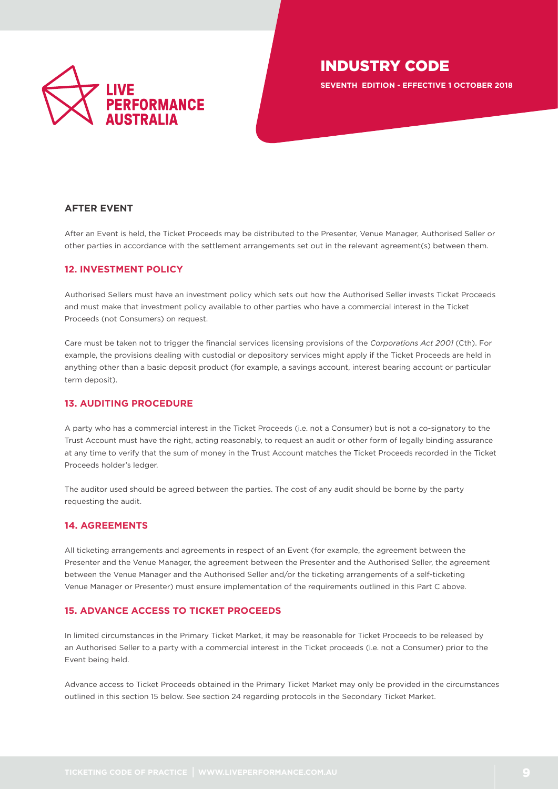

**SEVENTH EDITION - EFFECTIVE 1 OCTOBER 2018**

# <span id="page-8-0"></span>**AFTER EVENT**

After an Event is held, the Ticket Proceeds may be distributed to the Presenter, Venue Manager, Authorised Seller or other parties in accordance with the settlement arrangements set out in the relevant agreement(s) between them.

## <span id="page-8-1"></span>**12. INVESTMENT POLICY**

Authorised Sellers must have an investment policy which sets out how the Authorised Seller invests Ticket Proceeds and must make that investment policy available to other parties who have a commercial interest in the Ticket Proceeds (not Consumers) on request.

Care must be taken not to trigger the financial services licensing provisions of the *Corporations Act 2001* (Cth). For example, the provisions dealing with custodial or depository services might apply if the Ticket Proceeds are held in anything other than a basic deposit product (for example, a savings account, interest bearing account or particular term deposit).

# <span id="page-8-2"></span>**13. AUDITING PROCEDURE**

A party who has a commercial interest in the Ticket Proceeds (i.e. not a Consumer) but is not a co-signatory to the Trust Account must have the right, acting reasonably, to request an audit or other form of legally binding assurance at any time to verify that the sum of money in the Trust Account matches the Ticket Proceeds recorded in the Ticket Proceeds holder's ledger.

The auditor used should be agreed between the parties. The cost of any audit should be borne by the party requesting the audit.

### <span id="page-8-3"></span>**14. AGREEMENTS**

All ticketing arrangements and agreements in respect of an Event (for example, the agreement between the Presenter and the Venue Manager, the agreement between the Presenter and the Authorised Seller, the agreement between the Venue Manager and the Authorised Seller and/or the ticketing arrangements of a self-ticketing Venue Manager or Presenter) must ensure implementation of the requirements outlined in this Part C above.

# <span id="page-8-4"></span>**15. ADVANCE ACCESS TO TICKET PROCEEDS**

In limited circumstances in the Primary Ticket Market, it may be reasonable for Ticket Proceeds to be released by an Authorised Seller to a party with a commercial interest in the Ticket proceeds (i.e. not a Consumer) prior to the Event being held.

Advance access to Ticket Proceeds obtained in the Primary Ticket Market may only be provided in the circumstances outlined in this section 15 below. See section 24 regarding protocols in the Secondary Ticket Market.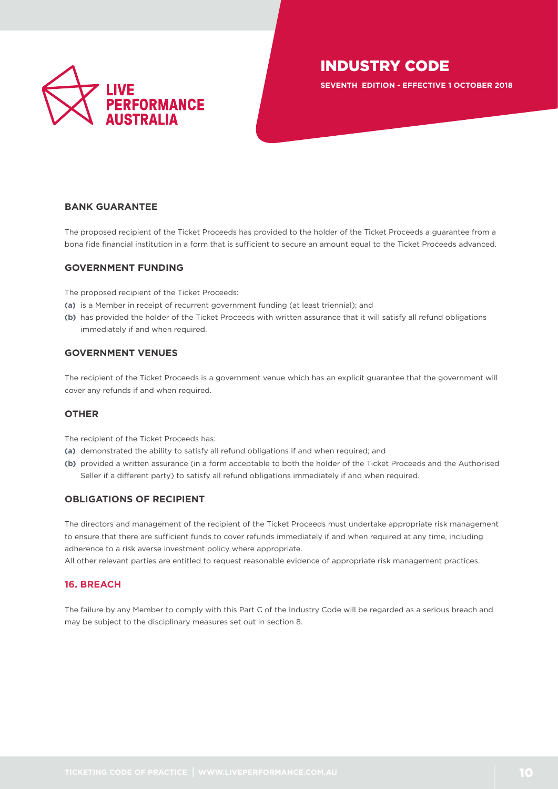

**SEVENTH EDITION - EFFECTIVE 1 OCTOBER 2018**

# <span id="page-9-0"></span>**BANK GUARANTEE**

The proposed recipient of the Ticket Proceeds has provided to the holder of the Ticket Proceeds a guarantee from a bona fide financial institution in a form that is sufficient to secure an amount equal to the Ticket Proceeds advanced.

### <span id="page-9-1"></span>**GOVERNMENT FUNDING**

The proposed recipient of the Ticket Proceeds:

- **(a)** is a Member in receipt of recurrent government funding (at least triennial); and
- **(b)** has provided the holder of the Ticket Proceeds with written assurance that it will satisfy all refund obligations immediately if and when required.

# <span id="page-9-2"></span>**GOVERNMENT VENUES**

The recipient of the Ticket Proceeds is a government venue which has an explicit guarantee that the government will cover any refunds if and when required.

### <span id="page-9-3"></span>**OTHER**

The recipient of the Ticket Proceeds has:

- **(a)** demonstrated the ability to satisfy all refund obligations if and when required; and
- **(b)** provided a written assurance (in a form acceptable to both the holder of the Ticket Proceeds and the Authorised Seller if a different party) to satisfy all refund obligations immediately if and when required.

# <span id="page-9-4"></span>**OBLIGATIONS OF RECIPIENT**

The directors and management of the recipient of the Ticket Proceeds must undertake appropriate risk management to ensure that there are sufficient funds to cover refunds immediately if and when required at any time, including adherence to a risk averse investment policy where appropriate.

All other relevant parties are entitled to request reasonable evidence of appropriate risk management practices.

# <span id="page-9-5"></span>**16. BREACH**

The failure by any Member to comply with this Part C of the Industry Code will be regarded as a serious breach and may be subject to the disciplinary measures set out in section 8.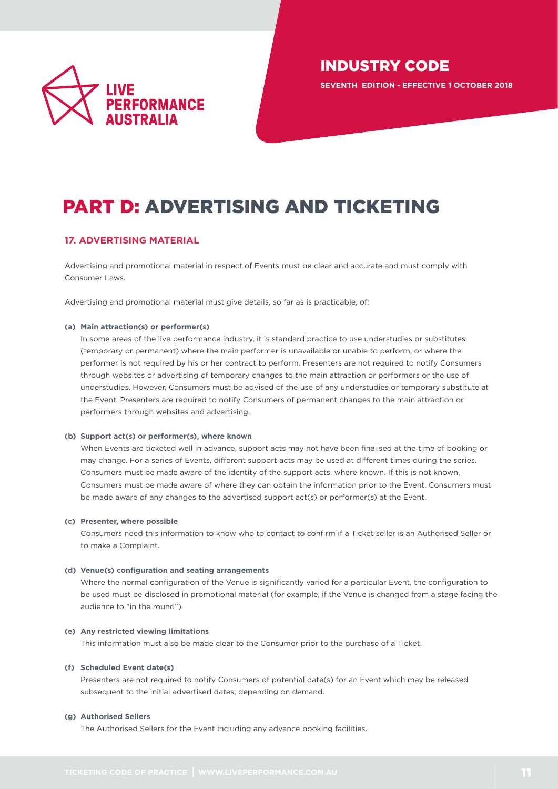

**SEVENTH EDITION - EFFECTIVE 1 OCTOBER 2018**

# <span id="page-10-0"></span>PART D: ADVERTISING AND TICKETING

# <span id="page-10-1"></span>**17. ADVERTISING MATERIAL**

Advertising and promotional material in respect of Events must be clear and accurate and must comply with Consumer Laws.

Advertising and promotional material must give details, so far as is practicable, of:

### **(a) Main attraction(s) or performer(s)**

In some areas of the live performance industry, it is standard practice to use understudies or substitutes (temporary or permanent) where the main performer is unavailable or unable to perform, or where the performer is not required by his or her contract to perform. Presenters are not required to notify Consumers through websites or advertising of temporary changes to the main attraction or performers or the use of understudies. However, Consumers must be advised of the use of any understudies or temporary substitute at the Event. Presenters are required to notify Consumers of permanent changes to the main attraction or performers through websites and advertising.

### **(b) Support act(s) or performer(s), where known**

When Events are ticketed well in advance, support acts may not have been finalised at the time of booking or may change. For a series of Events, different support acts may be used at different times during the series. Consumers must be made aware of the identity of the support acts, where known. If this is not known, Consumers must be made aware of where they can obtain the information prior to the Event. Consumers must be made aware of any changes to the advertised support act(s) or performer(s) at the Event.

### **(c) Presenter, where possible**

Consumers need this information to know who to contact to confirm if a Ticket seller is an Authorised Seller or to make a Complaint.

### **(d) Venue(s) configuration and seating arrangements**

Where the normal configuration of the Venue is significantly varied for a particular Event, the configuration to be used must be disclosed in promotional material (for example, if the Venue is changed from a stage facing the audience to "in the round").

### **(e) Any restricted viewing limitations**

This information must also be made clear to the Consumer prior to the purchase of a Ticket.

### **(f) Scheduled Event date(s)**

Presenters are not required to notify Consumers of potential date(s) for an Event which may be released subsequent to the initial advertised dates, depending on demand.

### **(g) Authorised Sellers**

The Authorised Sellers for the Event including any advance booking facilities.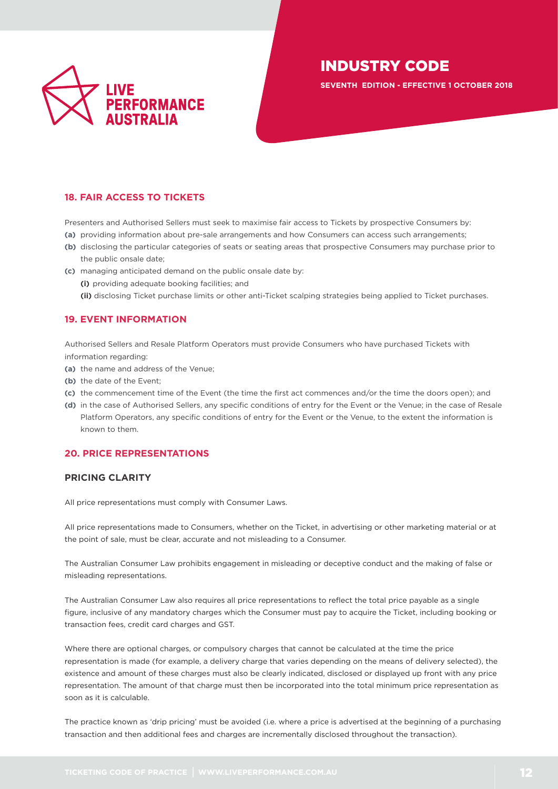

**SEVENTH EDITION - EFFECTIVE 1 OCTOBER 2018**

# <span id="page-11-0"></span>**18. FAIR ACCESS TO TICKETS**

Presenters and Authorised Sellers must seek to maximise fair access to Tickets by prospective Consumers by:

- **(a)** providing information about pre-sale arrangements and how Consumers can access such arrangements;
- **(b)** disclosing the particular categories of seats or seating areas that prospective Consumers may purchase prior to the public onsale date;
- **(c)** managing anticipated demand on the public onsale date by: **(i)** providing adequate booking facilities; and **(ii)** disclosing Ticket purchase limits or other anti-Ticket scalping strategies being applied to Ticket purchases.

# <span id="page-11-1"></span>**19. EVENT INFORMATION**

Authorised Sellers and Resale Platform Operators must provide Consumers who have purchased Tickets with information regarding:

- **(a)** the name and address of the Venue;
- **(b)** the date of the Event;
- **(c)** the commencement time of the Event (the time the first act commences and/or the time the doors open); and
- **(d)** in the case of Authorised Sellers, any specific conditions of entry for the Event or the Venue; in the case of Resale Platform Operators, any specific conditions of entry for the Event or the Venue, to the extent the information is known to them.

# <span id="page-11-2"></span>**20. PRICE REPRESENTATIONS**

### <span id="page-11-3"></span>**PRICING CLARITY**

All price representations must comply with Consumer Laws.

All price representations made to Consumers, whether on the Ticket, in advertising or other marketing material or at the point of sale, must be clear, accurate and not misleading to a Consumer.

The Australian Consumer Law prohibits engagement in misleading or deceptive conduct and the making of false or misleading representations.

The Australian Consumer Law also requires all price representations to reflect the total price payable as a single figure, inclusive of any mandatory charges which the Consumer must pay to acquire the Ticket, including booking or transaction fees, credit card charges and GST.

Where there are optional charges, or compulsory charges that cannot be calculated at the time the price representation is made (for example, a delivery charge that varies depending on the means of delivery selected), the existence and amount of these charges must also be clearly indicated, disclosed or displayed up front with any price representation. The amount of that charge must then be incorporated into the total minimum price representation as soon as it is calculable.

The practice known as 'drip pricing' must be avoided (i.e. where a price is advertised at the beginning of a purchasing transaction and then additional fees and charges are incrementally disclosed throughout the transaction).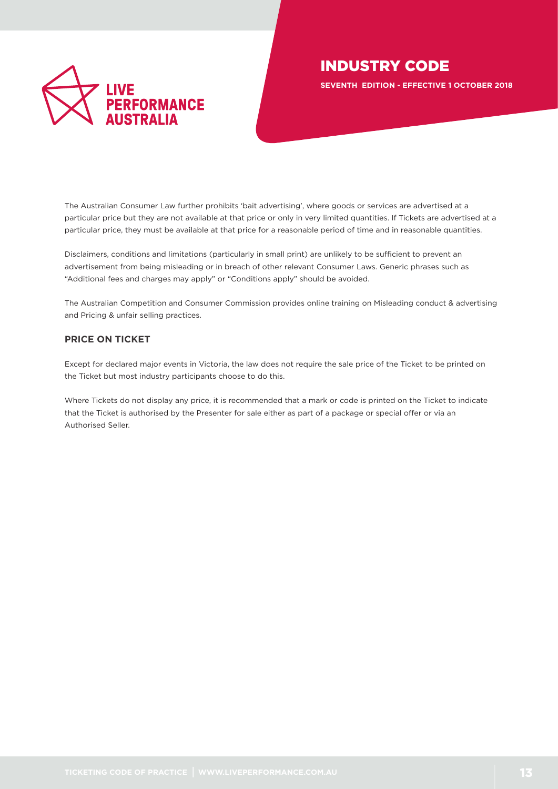

**SEVENTH EDITION - EFFECTIVE 1 OCTOBER 2018**

The Australian Consumer Law further prohibits 'bait advertising', where goods or services are advertised at a particular price but they are not available at that price or only in very limited quantities. If Tickets are advertised at a particular price, they must be available at that price for a reasonable period of time and in reasonable quantities.

Disclaimers, conditions and limitations (particularly in small print) are unlikely to be sufficient to prevent an advertisement from being misleading or in breach of other relevant Consumer Laws. Generic phrases such as "Additional fees and charges may apply" or "Conditions apply" should be avoided.

The Australian Competition and Consumer Commission provides online training on Misleading conduct & advertising and Pricing & unfair selling practices.

# <span id="page-12-0"></span>**PRICE ON TICKET**

Except for declared major events in Victoria, the law does not require the sale price of the Ticket to be printed on the Ticket but most industry participants choose to do this.

Where Tickets do not display any price, it is recommended that a mark or code is printed on the Ticket to indicate that the Ticket is authorised by the Presenter for sale either as part of a package or special offer or via an Authorised Seller.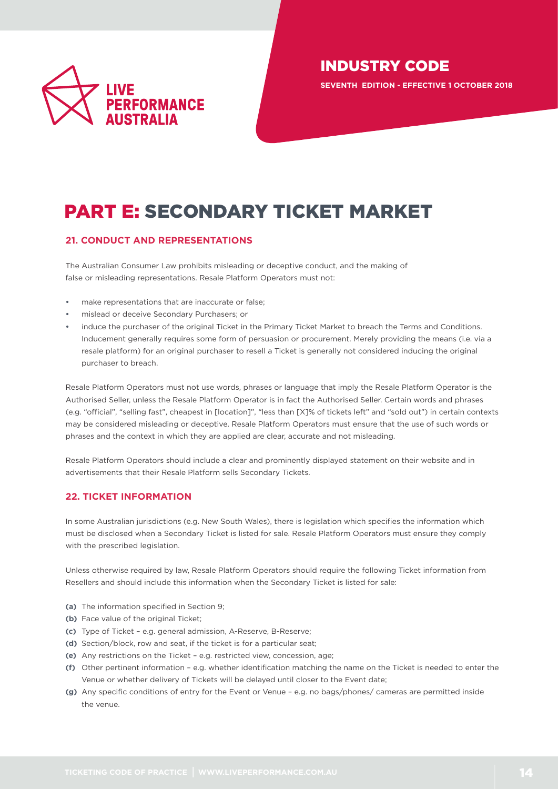

**SEVENTH EDITION - EFFECTIVE 1 OCTOBER 2018**

# <span id="page-13-0"></span>PART E: SECONDARY TICKET MARKET

# <span id="page-13-1"></span>**21. CONDUCT AND REPRESENTATIONS**

The Australian Consumer Law prohibits misleading or deceptive conduct, and the making of false or misleading representations. Resale Platform Operators must not:

- make representations that are inaccurate or false;
- **•** mislead or deceive Secondary Purchasers; or
- **•** induce the purchaser of the original Ticket in the Primary Ticket Market to breach the Terms and Conditions. Inducement generally requires some form of persuasion or procurement. Merely providing the means (i.e. via a resale platform) for an original purchaser to resell a Ticket is generally not considered inducing the original purchaser to breach.

Resale Platform Operators must not use words, phrases or language that imply the Resale Platform Operator is the Authorised Seller, unless the Resale Platform Operator is in fact the Authorised Seller. Certain words and phrases (e.g. "official", "selling fast", cheapest in [location]", "less than [X]% of tickets left" and "sold out") in certain contexts may be considered misleading or deceptive. Resale Platform Operators must ensure that the use of such words or phrases and the context in which they are applied are clear, accurate and not misleading.

Resale Platform Operators should include a clear and prominently displayed statement on their website and in advertisements that their Resale Platform sells Secondary Tickets.

# **22. TICKET INFORMATION**

In some Australian jurisdictions (e.g. New South Wales), there is legislation which specifies the information which must be disclosed when a Secondary Ticket is listed for sale. Resale Platform Operators must ensure they comply with the prescribed legislation.

Unless otherwise required by law, Resale Platform Operators should require the following Ticket information from Resellers and should include this information when the Secondary Ticket is listed for sale:

- **(a)** The information specified in Section 9;
- **(b)** Face value of the original Ticket;
- **(c)** Type of Ticket e.g. general admission, A-Reserve, B-Reserve;
- **(d)** Section/block, row and seat, if the ticket is for a particular seat;
- **(e)** Any restrictions on the Ticket e.g. restricted view, concession, age;
- **(f)** Other pertinent information e.g. whether identification matching the name on the Ticket is needed to enter the Venue or whether delivery of Tickets will be delayed until closer to the Event date;
- **(g)** Any specific conditions of entry for the Event or Venue e.g. no bags/phones/ cameras are permitted inside the venue.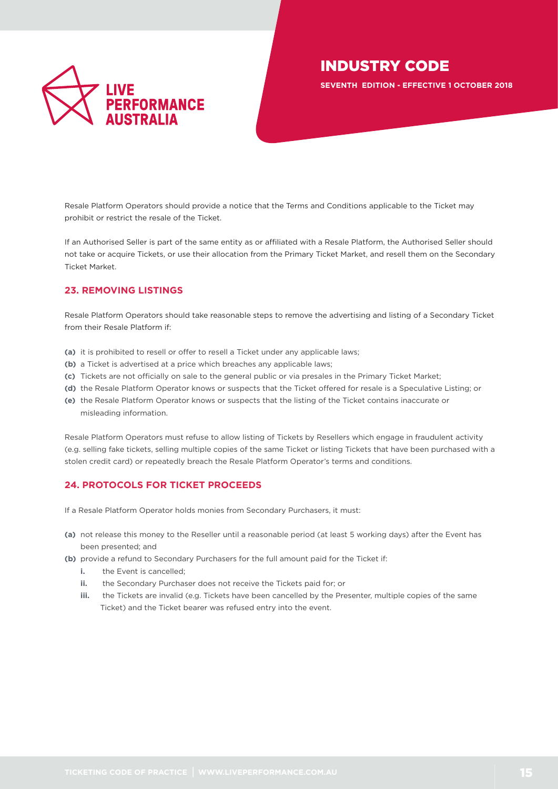

**SEVENTH EDITION - EFFECTIVE 1 OCTOBER 2018**

Resale Platform Operators should provide a notice that the Terms and Conditions applicable to the Ticket may prohibit or restrict the resale of the Ticket.

If an Authorised Seller is part of the same entity as or affiliated with a Resale Platform, the Authorised Seller should not take or acquire Tickets, or use their allocation from the Primary Ticket Market, and resell them on the Secondary Ticket Market.

# **23. REMOVING LISTINGS**

Resale Platform Operators should take reasonable steps to remove the advertising and listing of a Secondary Ticket from their Resale Platform if:

- **(a)** it is prohibited to resell or offer to resell a Ticket under any applicable laws;
- **(b)** a Ticket is advertised at a price which breaches any applicable laws;
- **(c)** Tickets are not officially on sale to the general public or via presales in the Primary Ticket Market;
- **(d)** the Resale Platform Operator knows or suspects that the Ticket offered for resale is a Speculative Listing; or
- **(e)** the Resale Platform Operator knows or suspects that the listing of the Ticket contains inaccurate or misleading information.

Resale Platform Operators must refuse to allow listing of Tickets by Resellers which engage in fraudulent activity (e.g. selling fake tickets, selling multiple copies of the same Ticket or listing Tickets that have been purchased with a stolen credit card) or repeatedly breach the Resale Platform Operator's terms and conditions.

# **24. PROTOCOLS FOR TICKET PROCEEDS**

If a Resale Platform Operator holds monies from Secondary Purchasers, it must:

- **(a)** not release this money to the Reseller until a reasonable period (at least 5 working days) after the Event has been presented; and
- **(b)** provide a refund to Secondary Purchasers for the full amount paid for the Ticket if:
	- **i.** the Event is cancelled:
	- **ii.** the Secondary Purchaser does not receive the Tickets paid for; or
	- **iii.** the Tickets are invalid (e.g. Tickets have been cancelled by the Presenter, multiple copies of the same Ticket) and the Ticket bearer was refused entry into the event.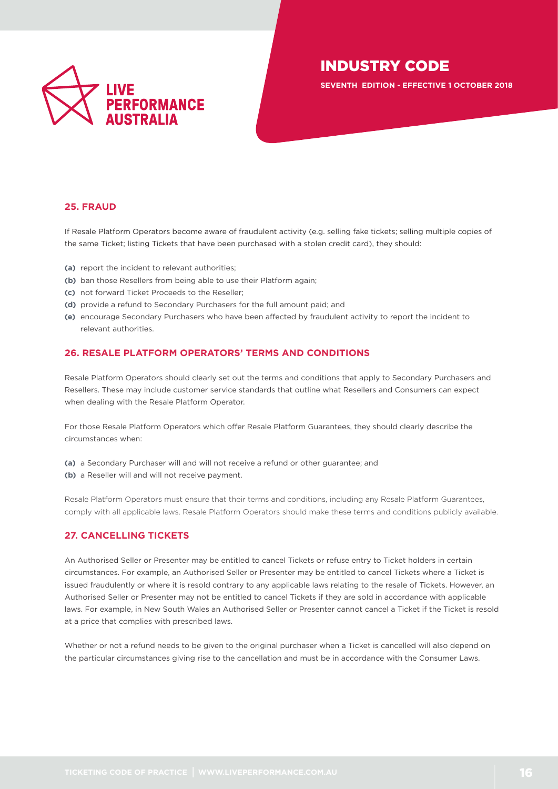

**SEVENTH EDITION - EFFECTIVE 1 OCTOBER 2018**

# **25. FRAUD**

If Resale Platform Operators become aware of fraudulent activity (e.g. selling fake tickets; selling multiple copies of the same Ticket; listing Tickets that have been purchased with a stolen credit card), they should:

- **(a)** report the incident to relevant authorities;
- **(b)** ban those Resellers from being able to use their Platform again;
- **(c)** not forward Ticket Proceeds to the Reseller;
- **(d)** provide a refund to Secondary Purchasers for the full amount paid; and
- **(e)** encourage Secondary Purchasers who have been affected by fraudulent activity to report the incident to relevant authorities.

# **26. RESALE PLATFORM OPERATORS' TERMS AND CONDITIONS**

Resale Platform Operators should clearly set out the terms and conditions that apply to Secondary Purchasers and Resellers. These may include customer service standards that outline what Resellers and Consumers can expect when dealing with the Resale Platform Operator.

For those Resale Platform Operators which offer Resale Platform Guarantees, they should clearly describe the circumstances when:

- **(a)** a Secondary Purchaser will and will not receive a refund or other guarantee; and
- **(b)** a Reseller will and will not receive payment.

Resale Platform Operators must ensure that their terms and conditions, including any Resale Platform Guarantees, comply with all applicable laws. Resale Platform Operators should make these terms and conditions publicly available.

# **27. CANCELLING TICKETS**

An Authorised Seller or Presenter may be entitled to cancel Tickets or refuse entry to Ticket holders in certain circumstances. For example, an Authorised Seller or Presenter may be entitled to cancel Tickets where a Ticket is issued fraudulently or where it is resold contrary to any applicable laws relating to the resale of Tickets. However, an Authorised Seller or Presenter may not be entitled to cancel Tickets if they are sold in accordance with applicable laws. For example, in New South Wales an Authorised Seller or Presenter cannot cancel a Ticket if the Ticket is resold at a price that complies with prescribed laws.

Whether or not a refund needs to be given to the original purchaser when a Ticket is cancelled will also depend on the particular circumstances giving rise to the cancellation and must be in accordance with the Consumer Laws.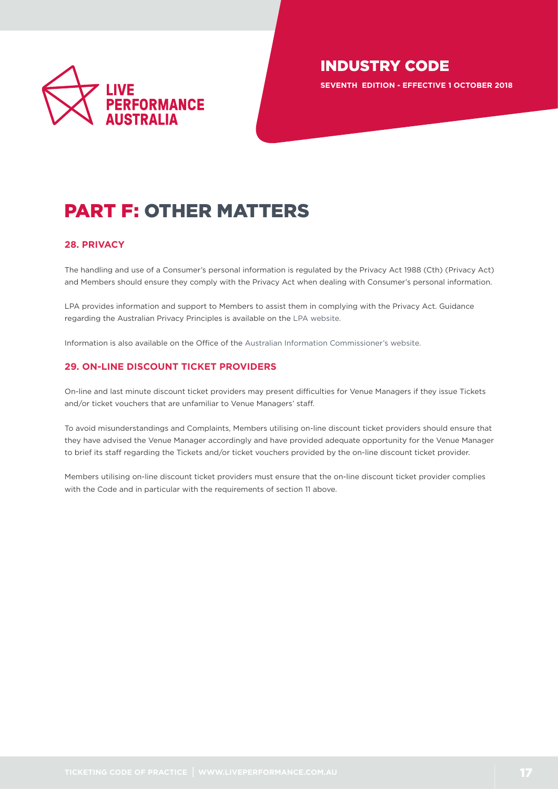

**SEVENTH EDITION - EFFECTIVE 1 OCTOBER 2018**

# <span id="page-16-0"></span>PART F: OTHER MATTERS

# **28. PRIVACY**

The handling and use of a Consumer's personal information is regulated by the Privacy Act 1988 (Cth) (Privacy Act) and Members should ensure they comply with the Privacy Act when dealing with Consumer's personal information.

LPA provides information and support to Members to assist them in complying with the Privacy Act. Guidance regarding the Australian Privacy Principles is available on the [LPA website.](http://www.liveperformance.com.au/australian_privacy_principles_apps)

Information is also available on the Office of the [Australian Information Commissioner's website.](https://www.oaic.gov.au)

# **29. ON-LINE DISCOUNT TICKET PROVIDERS**

On-line and last minute discount ticket providers may present difficulties for Venue Managers if they issue Tickets and/or ticket vouchers that are unfamiliar to Venue Managers' staff.

To avoid misunderstandings and Complaints, Members utilising on-line discount ticket providers should ensure that they have advised the Venue Manager accordingly and have provided adequate opportunity for the Venue Manager to brief its staff regarding the Tickets and/or ticket vouchers provided by the on-line discount ticket provider.

Members utilising on-line discount ticket providers must ensure that the on-line discount ticket provider complies with the Code and in particular with the requirements of section 11 above.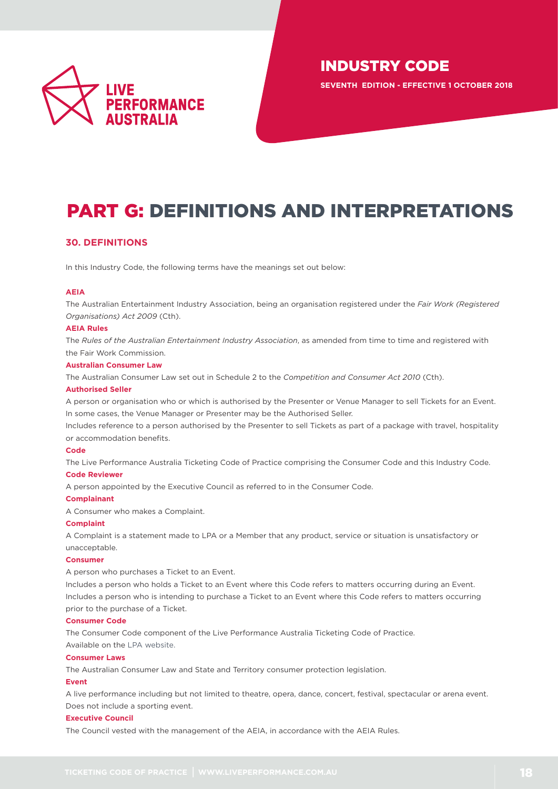

**SEVENTH EDITION - EFFECTIVE 1 OCTOBER 2018**

# PART G: DEFINITIONS AND INTERPRETATIONS

# **30. DEFINITIONS**

In this Industry Code, the following terms have the meanings set out below:

### **AEIA**

The Australian Entertainment Industry Association, being an organisation registered under the *Fair Work (Registered Organisations) Act 2009* (Cth).

### **AEIA Rules**

The *[Rules of the Australian Entertainment Industry Association](http://www.liveperformance.com.au)*, as amended from time to time and registered with the Fair Work Commission.

### **Australian Consumer Law**

The Australian Consumer Law set out in Schedule 2 to the *Competition and Consumer Act 2010* (Cth).

#### **Authorised Seller**

A person or organisation who or which is authorised by the Presenter or Venue Manager to sell Tickets for an Event. In some cases, the Venue Manager or Presenter may be the Authorised Seller.

Includes reference to a person authorised by the Presenter to sell Tickets as part of a package with travel, hospitality or accommodation benefits.

### **Code**

The Live Performance Australia Ticketing Code of Practice comprising the Consumer Code and this Industry Code.

# **Code Reviewer**

A person appointed by the Executive Council as referred to in the Consumer Code.

### **Complainant**

A Consumer who makes a Complaint.

### **Complaint**

A Complaint is a statement made to LPA or a Member that any product, service or situation is unsatisfactory or unacceptable.

#### **Consumer**

A person who purchases a Ticket to an Event.

Includes a person who holds a Ticket to an Event where this Code refers to matters occurring during an Event. Includes a person who is intending to purchase a Ticket to an Event where this Code refers to matters occurring prior to the purchase of a Ticket.

#### **Consumer Code**

The Consumer Code component of the Live Performance Australia Ticketing Code of Practice. Available on the [LPA website.](http://www.liveperformance.com.au/ticketing_code_practice)

### **Consumer Laws**

The Australian Consumer Law and State and Territory consumer protection legislation.

### **Event**

A live performance including but not limited to theatre, opera, dance, concert, festival, spectacular or arena event. Does not include a sporting event.

### **Executive Council**

The Council vested with the management of the AEIA, in accordance with the AEIA Rules.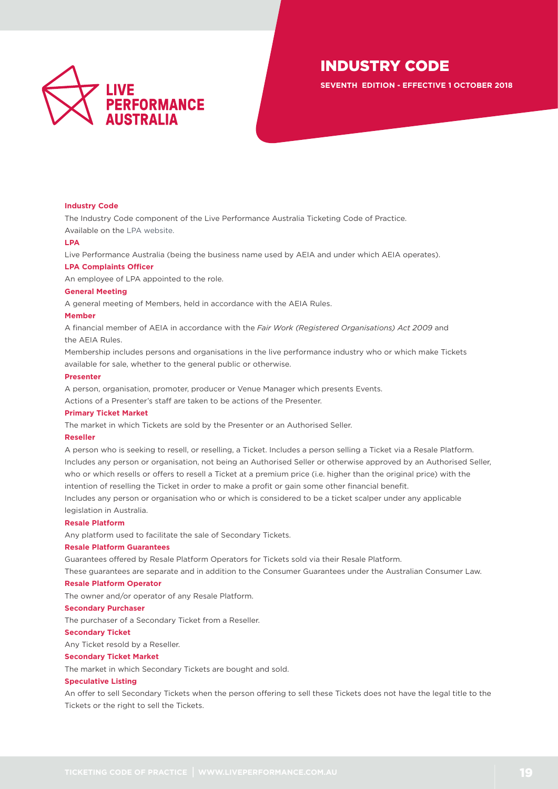

**SEVENTH EDITION - EFFECTIVE 1 OCTOBER 2018**

#### **Industry Code**

The Industry Code component of the Live Performance Australia Ticketing Code of Practice.

Available on the [LPA website.](http://www.liveperformance.com.au/ticketing_code_practice)

### **LPA**

Live Performance Australia (being the business name used by AEIA and under which AEIA operates).

### **LPA Complaints Officer**

An employee of LPA appointed to the role.

### **General Meeting**

A general meeting of Members, held in accordance with the AEIA Rules.

### **Member**

A financial member of AEIA in accordance with the *Fair Work (Registered Organisations) Act 2009* and the AEIA Rules.

Membership includes persons and organisations in the live performance industry who or which make Tickets available for sale, whether to the general public or otherwise.

#### **Presenter**

A person, organisation, promoter, producer or Venue Manager which presents Events.

Actions of a Presenter's staff are taken to be actions of the Presenter.

#### **Primary Ticket Market**

The market in which Tickets are sold by the Presenter or an Authorised Seller.

#### **Reseller**

A person who is seeking to resell, or reselling, a Ticket. Includes a person selling a Ticket via a Resale Platform. Includes any person or organisation, not being an Authorised Seller or otherwise approved by an Authorised Seller, who or which resells or offers to resell a Ticket at a premium price (i.e. higher than the original price) with the intention of reselling the Ticket in order to make a profit or gain some other financial benefit.

Includes any person or organisation who or which is considered to be a ticket scalper under any applicable legislation in Australia.

### **Resale Platform**

Any platform used to facilitate the sale of Secondary Tickets.

### **Resale Platform Guarantees**

Guarantees offered by Resale Platform Operators for Tickets sold via their Resale Platform.

These guarantees are separate and in addition to the Consumer Guarantees under the Australian Consumer Law.

#### **Resale Platform Operator**

The owner and/or operator of any Resale Platform.

#### **Secondary Purchaser**

The purchaser of a Secondary Ticket from a Reseller.

#### **Secondary Ticket**

Any Ticket resold by a Reseller.

### **Secondary Ticket Market**

The market in which Secondary Tickets are bought and sold.

### **Speculative Listing**

An offer to sell Secondary Tickets when the person offering to sell these Tickets does not have the legal title to the Tickets or the right to sell the Tickets.